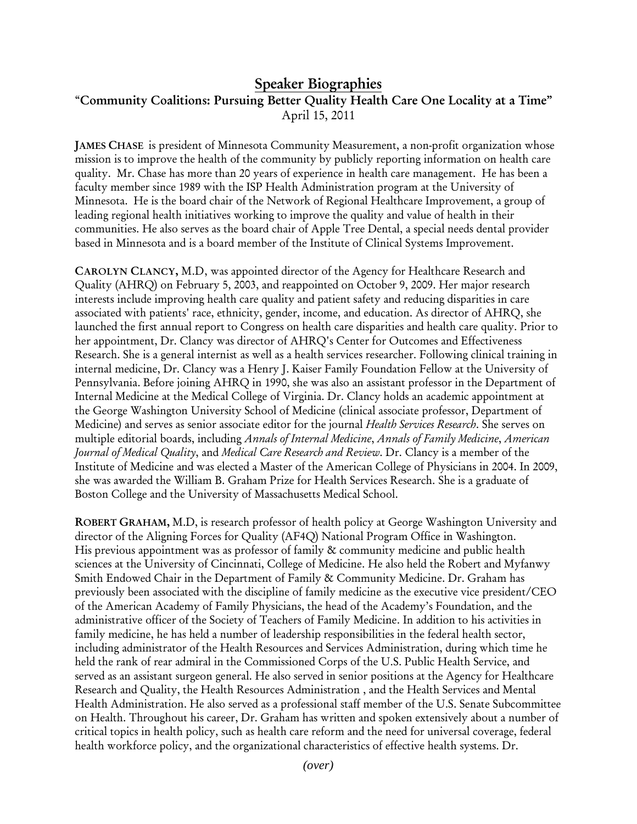## **Speaker Biographies**

## "**Community Coalitions: Pursuing Better Quality Health Care One Locality at a Time"** April 15, 2011

**JAMES CHASE** is president of Minnesota Community Measurement, a non-profit organization whose mission is to improve the health of the community by publicly reporting information on health care quality. Mr. Chase has more than 20 years of experience in health care management. He has been a faculty member since 1989 with the ISP Health Administration program at the University of Minnesota. He is the board chair of the Network of Regional Healthcare Improvement, a group of leading regional health initiatives working to improve the quality and value of health in their communities. He also serves as the board chair of Apple Tree Dental, a special needs dental provider based in Minnesota and is a board member of the Institute of Clinical Systems Improvement.

**CAROLYN CLANCY,** M.D, was appointed director of the Agency for Healthcare Research and Quality (AHRQ) on February 5, 2003, and reappointed on October 9, 2009. Her major research interests include improving health care quality and patient safety and reducing disparities in care associated with patients' race, ethnicity, gender, income, and education. As director of AHRQ, she launched the first annual report to Congress on health care disparities and health care quality. Prior to her appointment, Dr. Clancy was director of AHRQ's Center for Outcomes and Effectiveness Research. She is a general internist as well as a health services researcher. Following clinical training in internal medicine, Dr. Clancy was a Henry J. Kaiser Family Foundation Fellow at the University of Pennsylvania. Before joining AHRQ in 1990, she was also an assistant professor in the Department of Internal Medicine at the Medical College of Virginia. Dr. Clancy holds an academic appointment at the George Washington University School of Medicine (clinical associate professor, Department of Medicine) and serves as senior associate editor for the journal *Health Services Research*. She serves on multiple editorial boards, including *Annals of Internal Medicine*, *Annals of Family Medicine*, *American Journal of Medical Quality*, and *Medical Care Research and Review*. Dr. Clancy is a member of the Institute of Medicine and was elected a Master of the American College of Physicians in 2004. In 2009, she was awarded the William B. Graham Prize for Health Services Research. She is a graduate of Boston College and the University of Massachusetts Medical School.

**ROBERT GRAHAM,** M.D, is research professor of health policy at George Washington University and director of the Aligning Forces for Quality (AF4Q) National Program Office in Washington. His previous appointment was as professor of family & community medicine and public health sciences at the University of Cincinnati, College of Medicine. He also held the Robert and Myfanwy Smith Endowed Chair in the Department of Family & Community Medicine. Dr. Graham has previously been associated with the discipline of family medicine as the executive vice president/CEO of the American Academy of Family Physicians, the head of the Academy's Foundation, and the administrative officer of the Society of Teachers of Family Medicine. In addition to his activities in family medicine, he has held a number of leadership responsibilities in the federal health sector, including administrator of the Health Resources and Services Administration, during which time he held the rank of rear admiral in the Commissioned Corps of the U.S. Public Health Service, and served as an assistant surgeon general. He also served in senior positions at the Agency for Healthcare Research and Quality, the Health Resources Administration , and the Health Services and Mental Health Administration. He also served as a professional staff member of the U.S. Senate Subcommittee on Health. Throughout his career, Dr. Graham has written and spoken extensively about a number of critical topics in health policy, such as health care reform and the need for universal coverage, federal health workforce policy, and the organizational characteristics of effective health systems. Dr.